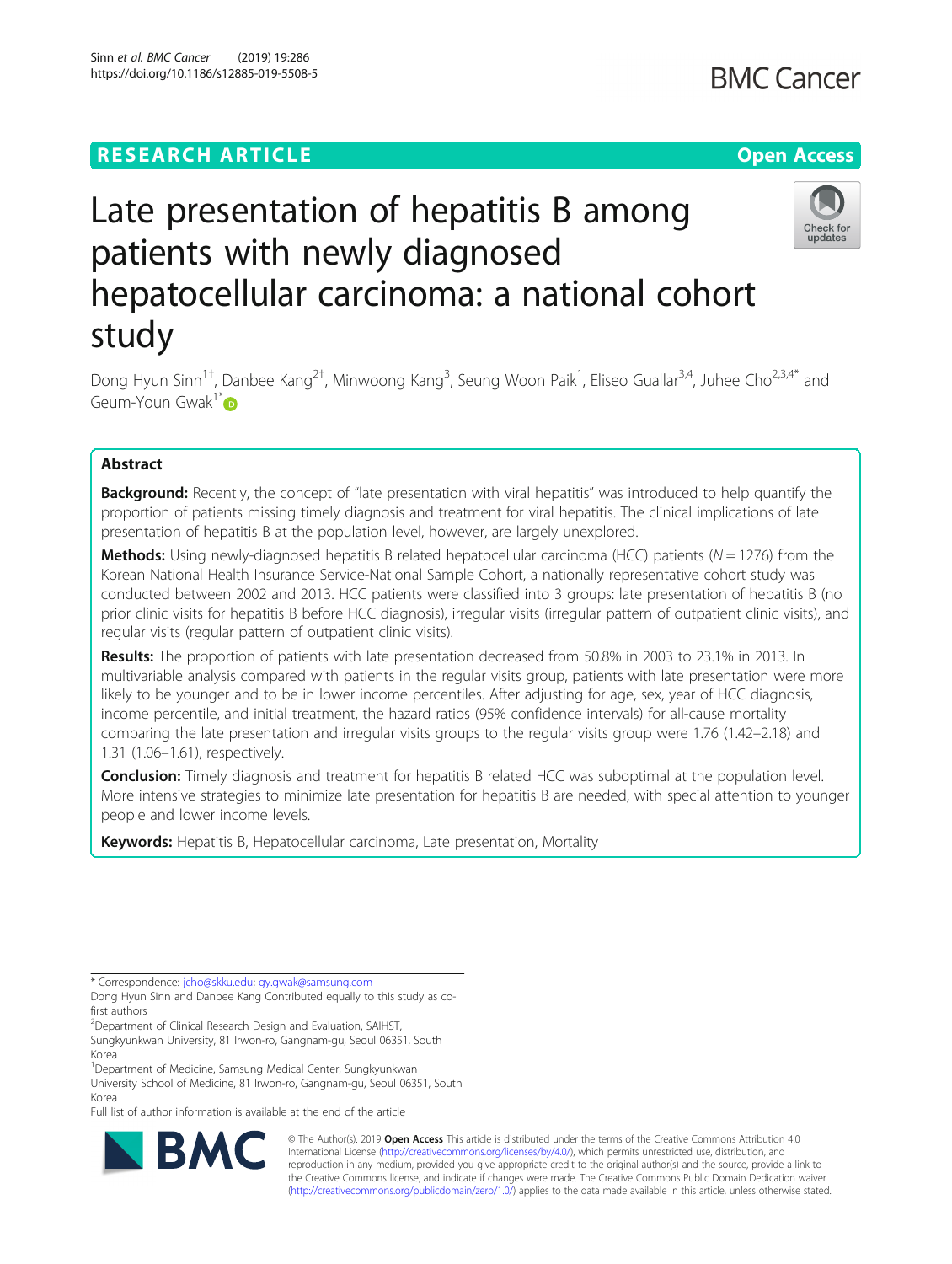# **RESEARCH ARTICLE Example 2014 12:30 The Contract of Contract ACCESS**

# Late presentation of hepatitis B among patients with newly diagnosed hepatocellular carcinoma: a national cohort study

Dong Hyun Sinn<sup>1†</sup>, Danbee Kang<sup>2†</sup>, Minwoong Kang<sup>3</sup>, Seung Woon Paik<sup>1</sup>, Eliseo Guallar<sup>3,4</sup>, Juhee Cho<sup>2,3,4\*</sup> and Geum-Youn Gwak<sup>1\*</sup>

## Abstract

**Background:** Recently, the concept of "late presentation with viral hepatitis" was introduced to help quantify the proportion of patients missing timely diagnosis and treatment for viral hepatitis. The clinical implications of late presentation of hepatitis B at the population level, however, are largely unexplored.

**Methods:** Using newly-diagnosed hepatitis B related hepatocellular carcinoma (HCC) patients ( $N = 1276$ ) from the Korean National Health Insurance Service-National Sample Cohort, a nationally representative cohort study was conducted between 2002 and 2013. HCC patients were classified into 3 groups: late presentation of hepatitis B (no prior clinic visits for hepatitis B before HCC diagnosis), irregular visits (irregular pattern of outpatient clinic visits), and regular visits (regular pattern of outpatient clinic visits).

Results: The proportion of patients with late presentation decreased from 50.8% in 2003 to 23.1% in 2013. In multivariable analysis compared with patients in the regular visits group, patients with late presentation were more likely to be younger and to be in lower income percentiles. After adjusting for age, sex, year of HCC diagnosis, income percentile, and initial treatment, the hazard ratios (95% confidence intervals) for all-cause mortality comparing the late presentation and irregular visits groups to the regular visits group were 1.76 (1.42–2.18) and 1.31 (1.06–1.61), respectively.

Conclusion: Timely diagnosis and treatment for hepatitis B related HCC was suboptimal at the population level. More intensive strategies to minimize late presentation for hepatitis B are needed, with special attention to younger people and lower income levels.

Keywords: Hepatitis B, Hepatocellular carcinoma, Late presentation, Mortality

<sup>2</sup>Department of Clinical Research Design and Evaluation, SAIHST, Sungkyunkwan University, 81 Irwon-ro, Gangnam-gu, Seoul 06351, South Korea

<sup>1</sup>Department of Medicine, Samsung Medical Center, Sungkyunkwan

University School of Medicine, 81 Irwon-ro, Gangnam-gu, Seoul 06351, South Korea

Full list of author information is available at the end of the article

© The Author(s). 2019 **Open Access** This article is distributed under the terms of the Creative Commons Attribution 4.0 International License [\(http://creativecommons.org/licenses/by/4.0/](http://creativecommons.org/licenses/by/4.0/)), which permits unrestricted use, distribution, and reproduction in any medium, provided you give appropriate credit to the original author(s) and the source, provide a link to the Creative Commons license, and indicate if changes were made. The Creative Commons Public Domain Dedication waiver [\(http://creativecommons.org/publicdomain/zero/1.0/](http://creativecommons.org/publicdomain/zero/1.0/)) applies to the data made available in this article, unless otherwise stated.





<sup>\*</sup> Correspondence: [jcho@skku.edu](mailto:jcho@skku.edu); [gy.gwak@samsung.com](mailto:gy.gwak@samsung.com)

Dong Hyun Sinn and Danbee Kang Contributed equally to this study as cofirst authors

Sinn et al. BMC Cancer (2019) 19:286 https://doi.org/10.1186/s12885-019-5508-5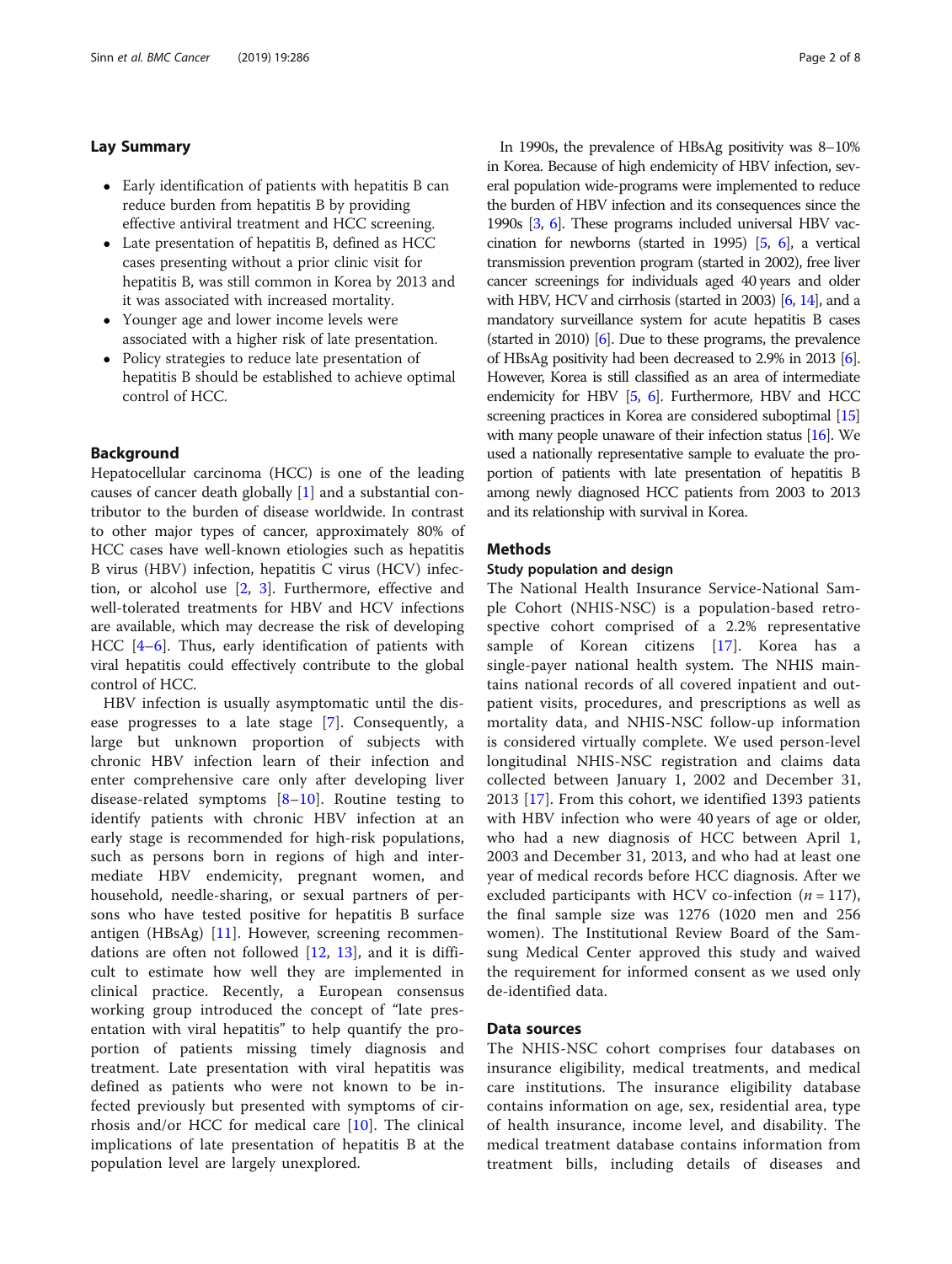#### Lay Summary

- Early identification of patients with hepatitis B can reduce burden from hepatitis B by providing effective antiviral treatment and HCC screening.
- Late presentation of hepatitis B, defined as HCC cases presenting without a prior clinic visit for hepatitis B, was still common in Korea by 2013 and it was associated with increased mortality.
- Younger age and lower income levels were associated with a higher risk of late presentation.
- Policy strategies to reduce late presentation of hepatitis B should be established to achieve optimal control of HCC.

#### Background

Hepatocellular carcinoma (HCC) is one of the leading causes of cancer death globally [\[1\]](#page-7-0) and a substantial contributor to the burden of disease worldwide. In contrast to other major types of cancer, approximately 80% of HCC cases have well-known etiologies such as hepatitis B virus (HBV) infection, hepatitis C virus (HCV) infection, or alcohol use [\[2](#page-7-0), [3](#page-7-0)]. Furthermore, effective and well-tolerated treatments for HBV and HCV infections are available, which may decrease the risk of developing HCC [[4](#page-7-0)–[6](#page-7-0)]. Thus, early identification of patients with viral hepatitis could effectively contribute to the global control of HCC.

HBV infection is usually asymptomatic until the disease progresses to a late stage [[7\]](#page-7-0). Consequently, a large but unknown proportion of subjects with chronic HBV infection learn of their infection and enter comprehensive care only after developing liver disease-related symptoms [\[8](#page-7-0)–[10](#page-7-0)]. Routine testing to identify patients with chronic HBV infection at an early stage is recommended for high-risk populations, such as persons born in regions of high and intermediate HBV endemicity, pregnant women, and household, needle-sharing, or sexual partners of persons who have tested positive for hepatitis B surface antigen (HBsAg) [\[11](#page-7-0)]. However, screening recommendations are often not followed  $[12, 13]$  $[12, 13]$  $[12, 13]$ , and it is difficult to estimate how well they are implemented in clinical practice. Recently, a European consensus working group introduced the concept of "late presentation with viral hepatitis" to help quantify the proportion of patients missing timely diagnosis and treatment. Late presentation with viral hepatitis was defined as patients who were not known to be infected previously but presented with symptoms of cirrhosis and/or HCC for medical care [[10\]](#page-7-0). The clinical implications of late presentation of hepatitis B at the population level are largely unexplored.

In 1990s, the prevalence of HBsAg positivity was 8–10% in Korea. Because of high endemicity of HBV infection, several population wide-programs were implemented to reduce the burden of HBV infection and its consequences since the 1990s [[3](#page-7-0), [6\]](#page-7-0). These programs included universal HBV vaccination for newborns (started in 1995) [[5](#page-7-0), [6\]](#page-7-0), a vertical transmission prevention program (started in 2002), free liver cancer screenings for individuals aged 40 years and older with HBV, HCV and cirrhosis (started in 2003) [\[6,](#page-7-0) [14\]](#page-7-0), and a mandatory surveillance system for acute hepatitis B cases (started in 2010) [\[6\]](#page-7-0). Due to these programs, the prevalence of HBsAg positivity had been decreased to 2.9% in 2013 [\[6](#page-7-0)]. However, Korea is still classified as an area of intermediate endemicity for HBV [\[5,](#page-7-0) [6](#page-7-0)]. Furthermore, HBV and HCC screening practices in Korea are considered suboptimal [\[15](#page-7-0)] with many people unaware of their infection status [[16\]](#page-7-0). We used a nationally representative sample to evaluate the proportion of patients with late presentation of hepatitis B among newly diagnosed HCC patients from 2003 to 2013 and its relationship with survival in Korea.

#### **Methods**

#### Study population and design

The National Health Insurance Service-National Sample Cohort (NHIS-NSC) is a population-based retrospective cohort comprised of a 2.2% representative sample of Korean citizens [[17\]](#page-7-0). Korea has a single-payer national health system. The NHIS maintains national records of all covered inpatient and outpatient visits, procedures, and prescriptions as well as mortality data, and NHIS-NSC follow-up information is considered virtually complete. We used person-level longitudinal NHIS-NSC registration and claims data collected between January 1, 2002 and December 31, 2013 [[17](#page-7-0)]. From this cohort, we identified 1393 patients with HBV infection who were 40 years of age or older, who had a new diagnosis of HCC between April 1, 2003 and December 31, 2013, and who had at least one year of medical records before HCC diagnosis. After we excluded participants with HCV co-infection  $(n = 117)$ , the final sample size was 1276 (1020 men and 256 women). The Institutional Review Board of the Samsung Medical Center approved this study and waived the requirement for informed consent as we used only de-identified data.

### Data sources

The NHIS-NSC cohort comprises four databases on insurance eligibility, medical treatments, and medical care institutions. The insurance eligibility database contains information on age, sex, residential area, type of health insurance, income level, and disability. The medical treatment database contains information from treatment bills, including details of diseases and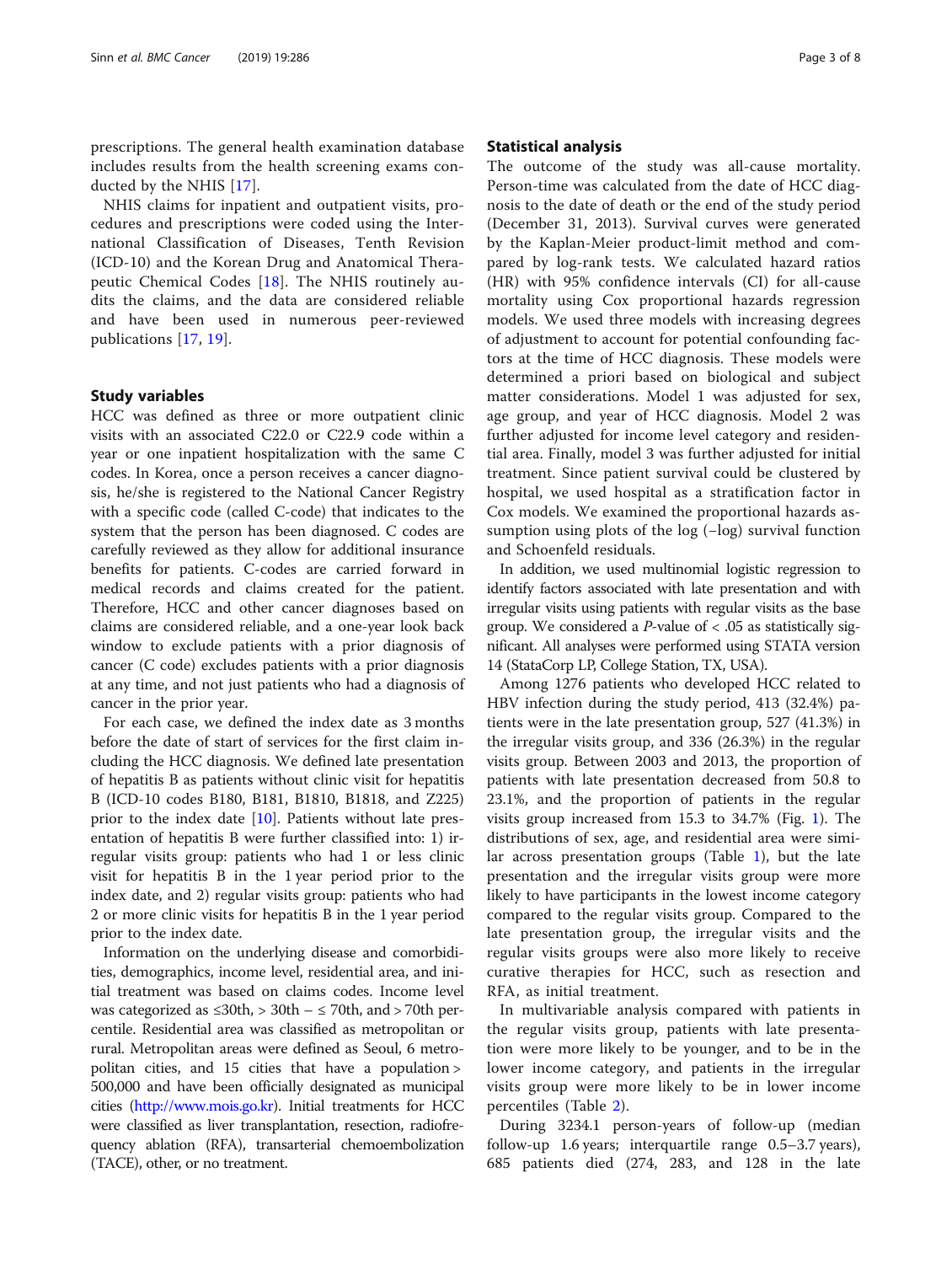prescriptions. The general health examination database includes results from the health screening exams conducted by the NHIS [\[17](#page-7-0)].

NHIS claims for inpatient and outpatient visits, procedures and prescriptions were coded using the International Classification of Diseases, Tenth Revision (ICD-10) and the Korean Drug and Anatomical Therapeutic Chemical Codes [[18\]](#page-7-0). The NHIS routinely audits the claims, and the data are considered reliable and have been used in numerous peer-reviewed publications [\[17](#page-7-0), [19\]](#page-7-0).

#### Study variables

HCC was defined as three or more outpatient clinic visits with an associated C22.0 or C22.9 code within a year or one inpatient hospitalization with the same C codes. In Korea, once a person receives a cancer diagnosis, he/she is registered to the National Cancer Registry with a specific code (called C-code) that indicates to the system that the person has been diagnosed. C codes are carefully reviewed as they allow for additional insurance benefits for patients. C-codes are carried forward in medical records and claims created for the patient. Therefore, HCC and other cancer diagnoses based on claims are considered reliable, and a one-year look back window to exclude patients with a prior diagnosis of cancer (C code) excludes patients with a prior diagnosis at any time, and not just patients who had a diagnosis of cancer in the prior year.

For each case, we defined the index date as 3 months before the date of start of services for the first claim including the HCC diagnosis. We defined late presentation of hepatitis B as patients without clinic visit for hepatitis B (ICD-10 codes B180, B181, B1810, B1818, and Z225) prior to the index date [\[10](#page-7-0)]. Patients without late presentation of hepatitis B were further classified into: 1) irregular visits group: patients who had 1 or less clinic visit for hepatitis B in the 1 year period prior to the index date, and 2) regular visits group: patients who had 2 or more clinic visits for hepatitis B in the 1 year period prior to the index date.

Information on the underlying disease and comorbidities, demographics, income level, residential area, and initial treatment was based on claims codes. Income level was categorized as  $\leq 30$ th,  $> 30$ th  $- \leq 70$ th, and  $> 70$ th percentile. Residential area was classified as metropolitan or rural. Metropolitan areas were defined as Seoul, 6 metropolitan cities, and 15 cities that have a population > 500,000 and have been officially designated as municipal cities [\(http://www.mois.go.kr\)](http://www.mois.go.kr). Initial treatments for HCC were classified as liver transplantation, resection, radiofrequency ablation (RFA), transarterial chemoembolization (TACE), other, or no treatment.

#### Statistical analysis

The outcome of the study was all-cause mortality. Person-time was calculated from the date of HCC diagnosis to the date of death or the end of the study period (December 31, 2013). Survival curves were generated by the Kaplan-Meier product-limit method and compared by log-rank tests. We calculated hazard ratios (HR) with 95% confidence intervals (CI) for all-cause mortality using Cox proportional hazards regression models. We used three models with increasing degrees of adjustment to account for potential confounding factors at the time of HCC diagnosis. These models were determined a priori based on biological and subject matter considerations. Model 1 was adjusted for sex, age group, and year of HCC diagnosis. Model 2 was further adjusted for income level category and residential area. Finally, model 3 was further adjusted for initial treatment. Since patient survival could be clustered by hospital, we used hospital as a stratification factor in Cox models. We examined the proportional hazards assumption using plots of the log (−log) survival function and Schoenfeld residuals.

In addition, we used multinomial logistic regression to identify factors associated with late presentation and with irregular visits using patients with regular visits as the base group. We considered a  $P$ -value of < .05 as statistically significant. All analyses were performed using STATA version 14 (StataCorp LP, College Station, TX, USA).

Among 1276 patients who developed HCC related to HBV infection during the study period, 413 (32.4%) patients were in the late presentation group, 527 (41.3%) in the irregular visits group, and 336 (26.3%) in the regular visits group. Between 2003 and 2013, the proportion of patients with late presentation decreased from 50.8 to 23.1%, and the proportion of patients in the regular visits group increased from 15.3 to 34.7% (Fig. [1\)](#page-3-0). The distributions of sex, age, and residential area were similar across presentation groups (Table [1](#page-4-0)), but the late presentation and the irregular visits group were more likely to have participants in the lowest income category compared to the regular visits group. Compared to the late presentation group, the irregular visits and the regular visits groups were also more likely to receive curative therapies for HCC, such as resection and RFA, as initial treatment.

In multivariable analysis compared with patients in the regular visits group, patients with late presentation were more likely to be younger, and to be in the lower income category, and patients in the irregular visits group were more likely to be in lower income percentiles (Table [2](#page-4-0)).

During 3234.1 person-years of follow-up (median follow-up 1.6 years; interquartile range 0.5–3.7 years), 685 patients died (274, 283, and 128 in the late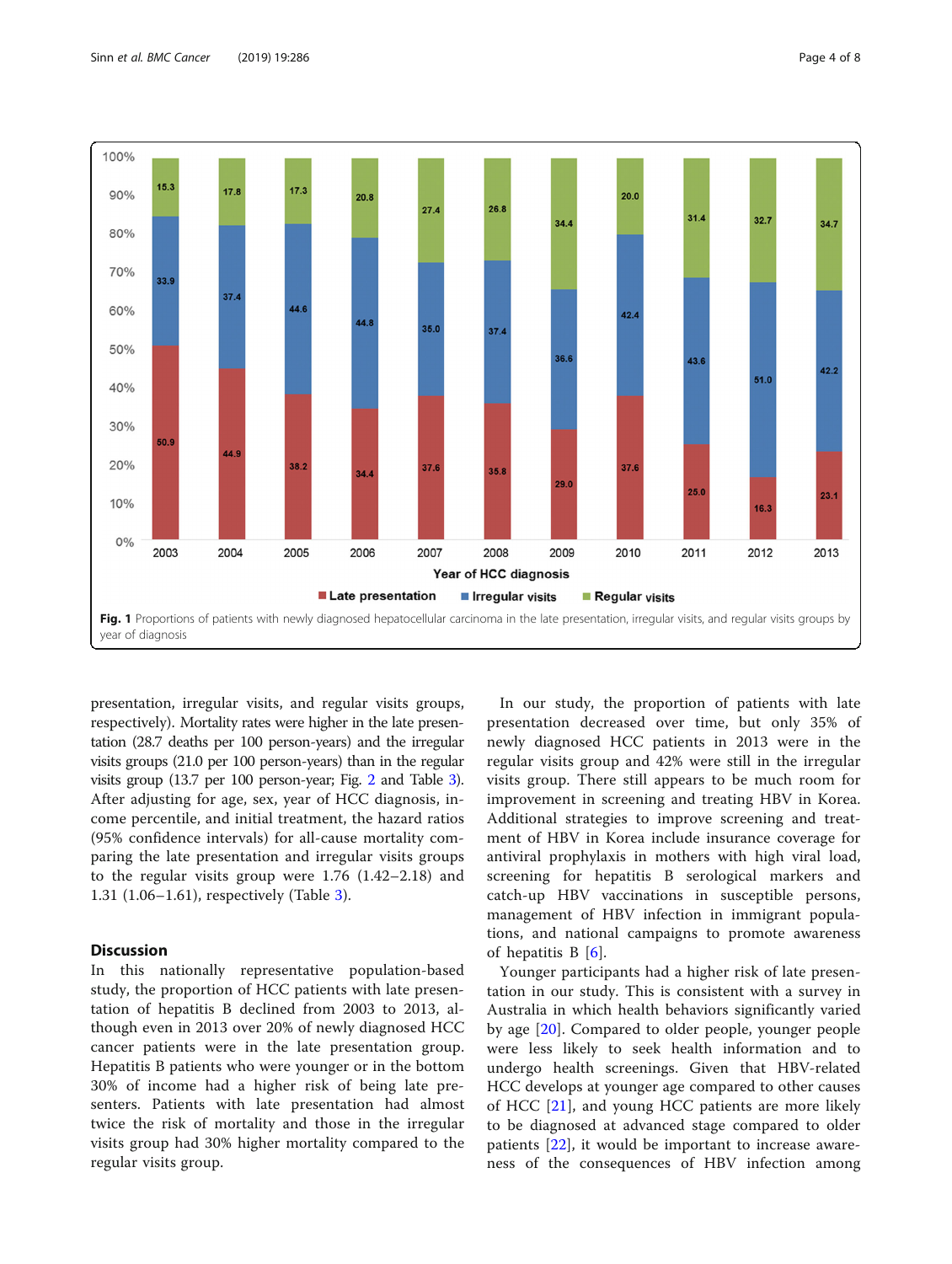<span id="page-3-0"></span>

presentation, irregular visits, and regular visits groups, respectively). Mortality rates were higher in the late presentation (28.7 deaths per 100 person-years) and the irregular visits groups (21.0 per 100 person-years) than in the regular visits group (13.7 per 100 person-year; Fig. [2](#page-5-0) and Table [3\)](#page-5-0). After adjusting for age, sex, year of HCC diagnosis, income percentile, and initial treatment, the hazard ratios (95% confidence intervals) for all-cause mortality comparing the late presentation and irregular visits groups to the regular visits group were 1.76 (1.42–2.18) and 1.31 (1.06–1.61), respectively (Table [3](#page-5-0)).

#### **Discussion**

In this nationally representative population-based study, the proportion of HCC patients with late presentation of hepatitis B declined from 2003 to 2013, although even in 2013 over 20% of newly diagnosed HCC cancer patients were in the late presentation group. Hepatitis B patients who were younger or in the bottom 30% of income had a higher risk of being late presenters. Patients with late presentation had almost twice the risk of mortality and those in the irregular visits group had 30% higher mortality compared to the regular visits group.

In our study, the proportion of patients with late presentation decreased over time, but only 35% of newly diagnosed HCC patients in 2013 were in the regular visits group and 42% were still in the irregular visits group. There still appears to be much room for improvement in screening and treating HBV in Korea. Additional strategies to improve screening and treatment of HBV in Korea include insurance coverage for antiviral prophylaxis in mothers with high viral load, screening for hepatitis B serological markers and catch-up HBV vaccinations in susceptible persons, management of HBV infection in immigrant populations, and national campaigns to promote awareness of hepatitis B [\[6](#page-7-0)].

Younger participants had a higher risk of late presentation in our study. This is consistent with a survey in Australia in which health behaviors significantly varied by age [\[20](#page-7-0)]. Compared to older people, younger people were less likely to seek health information and to undergo health screenings. Given that HBV-related HCC develops at younger age compared to other causes of HCC [[21](#page-7-0)], and young HCC patients are more likely to be diagnosed at advanced stage compared to older patients [[22\]](#page-7-0), it would be important to increase awareness of the consequences of HBV infection among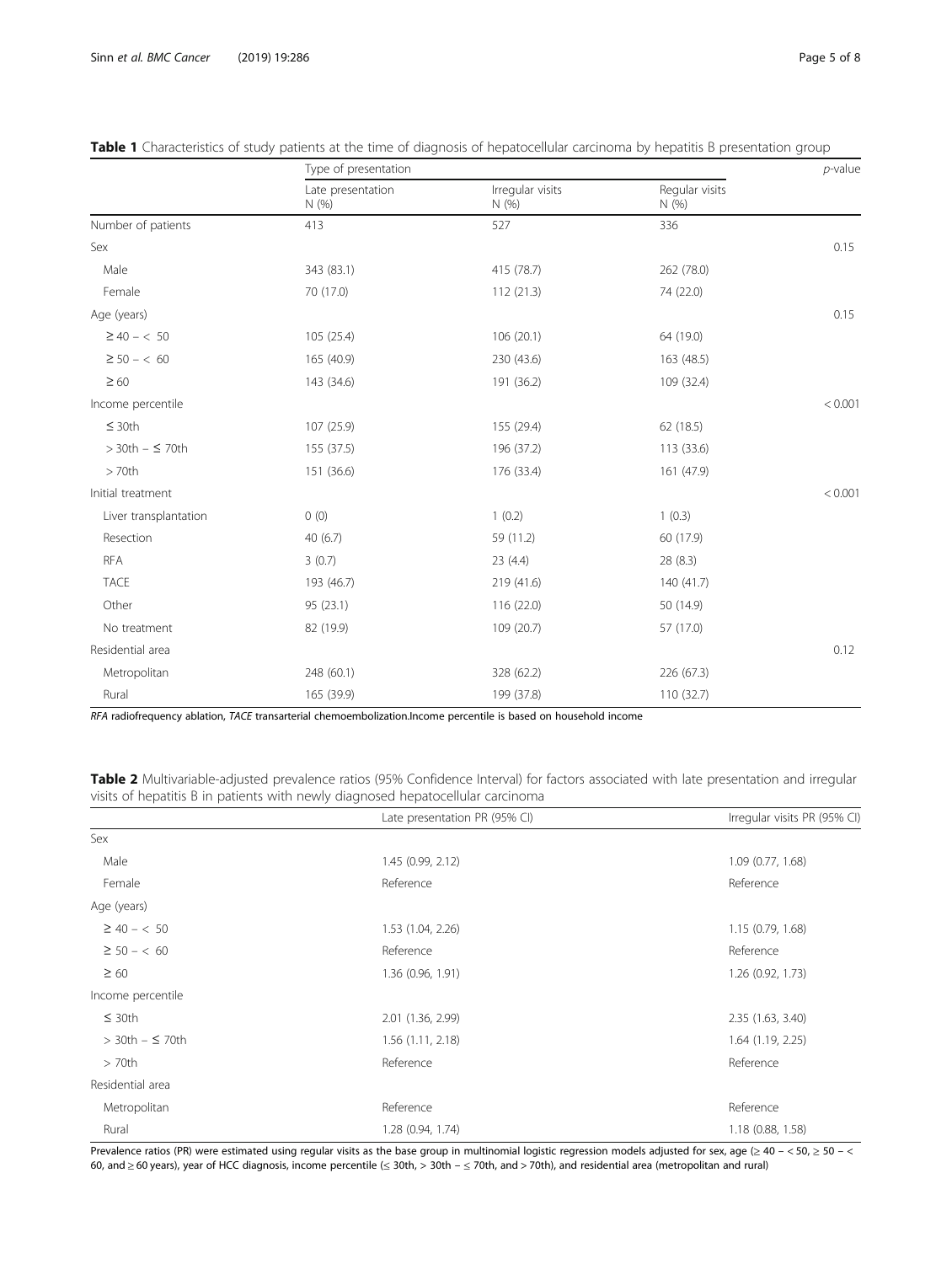|                       | Type of presentation       |                          |                        | $p$ -value |
|-----------------------|----------------------------|--------------------------|------------------------|------------|
|                       | Late presentation<br>N (%) | Irregular visits<br>N(%) | Regular visits<br>N(%) |            |
| Number of patients    | 413                        | 527                      | 336                    |            |
| Sex                   |                            |                          |                        | 0.15       |
| Male                  | 343 (83.1)                 | 415 (78.7)               | 262 (78.0)             |            |
| Female                | 70 (17.0)                  | 112(21.3)                | 74 (22.0)              |            |
| Age (years)           |                            |                          |                        | 0.15       |
| $\geq 40 - < 50$      | 105 (25.4)                 | 106 (20.1)               | 64 (19.0)              |            |
| $\geq 50 - < 60$      | 165 (40.9)                 | 230 (43.6)               | 163 (48.5)             |            |
| $\geq 60$             | 143 (34.6)                 | 191 (36.2)               | 109 (32.4)             |            |
| Income percentile     |                            |                          |                        | < 0.001    |
| $\leq 30$ th          | 107 (25.9)                 | 155 (29.4)               | 62 (18.5)              |            |
| $>$ 30th $ \leq$ 70th | 155 (37.5)                 | 196 (37.2)               | 113 (33.6)             |            |
| >70th                 | 151 (36.6)                 | 176 (33.4)               | 161 (47.9)             |            |
| Initial treatment     |                            |                          |                        | < 0.001    |
| Liver transplantation | 0(0)                       | 1(0.2)                   | 1(0.3)                 |            |
| Resection             | 40 (6.7)                   | 59 (11.2)                | 60 (17.9)              |            |
| <b>RFA</b>            | 3(0.7)                     | 23(4.4)                  | 28 (8.3)               |            |
| <b>TACE</b>           | 193 (46.7)                 | 219 (41.6)               | 140 (41.7)             |            |
| Other                 | 95 (23.1)                  | 116 (22.0)               | 50 (14.9)              |            |
| No treatment          | 82 (19.9)                  | 109 (20.7)               | 57 (17.0)              |            |
| Residential area      |                            |                          |                        | 0.12       |
| Metropolitan          | 248 (60.1)                 | 328 (62.2)               | 226 (67.3)             |            |
| Rural                 | 165 (39.9)                 | 199 (37.8)               | 110 (32.7)             |            |

<span id="page-4-0"></span>

RFA radiofrequency ablation, TACE transarterial chemoembolization.Income percentile is based on household income

Table 2 Multivariable-adjusted prevalence ratios (95% Confidence Interval) for factors associated with late presentation and irregular visits of hepatitis B in patients with newly diagnosed hepatocellular carcinoma

|                       | Late presentation PR (95% CI) | Irregular visits PR (95% CI) |  |
|-----------------------|-------------------------------|------------------------------|--|
| Sex                   |                               |                              |  |
| Male                  | 1.45 (0.99, 2.12)             | 1.09 (0.77, 1.68)            |  |
| Female                | Reference                     | Reference                    |  |
| Age (years)           |                               |                              |  |
| $\geq 40 - < 50$      | 1.53 (1.04, 2.26)             | 1.15 (0.79, 1.68)            |  |
| $\geq 50 - < 60$      | Reference                     | Reference                    |  |
| $\geq 60$             | 1.36 (0.96, 1.91)             | 1.26 (0.92, 1.73)            |  |
| Income percentile     |                               |                              |  |
| $\leq$ 30th           | 2.01 (1.36, 2.99)             | 2.35 (1.63, 3.40)            |  |
| $>$ 30th $ \leq$ 70th | 1.56(1.11, 2.18)              | 1.64 (1.19, 2.25)            |  |
| > 70th                | Reference                     | Reference                    |  |
| Residential area      |                               |                              |  |
| Metropolitan          | Reference                     | Reference                    |  |
| Rural                 | 1.28 (0.94, 1.74)             | 1.18 (0.88, 1.58)            |  |

Prevalence ratios (PR) were estimated using regular visits as the base group in multinomial logistic regression models adjusted for sex, age ( $\geq 40 - < 50$ ,  $\geq 50 - <$ 60, and ≥ 60 years), year of HCC diagnosis, income percentile (≤ 30th, > 30th – ≤ 70th, and > 70th), and residential area (metropolitan and rural)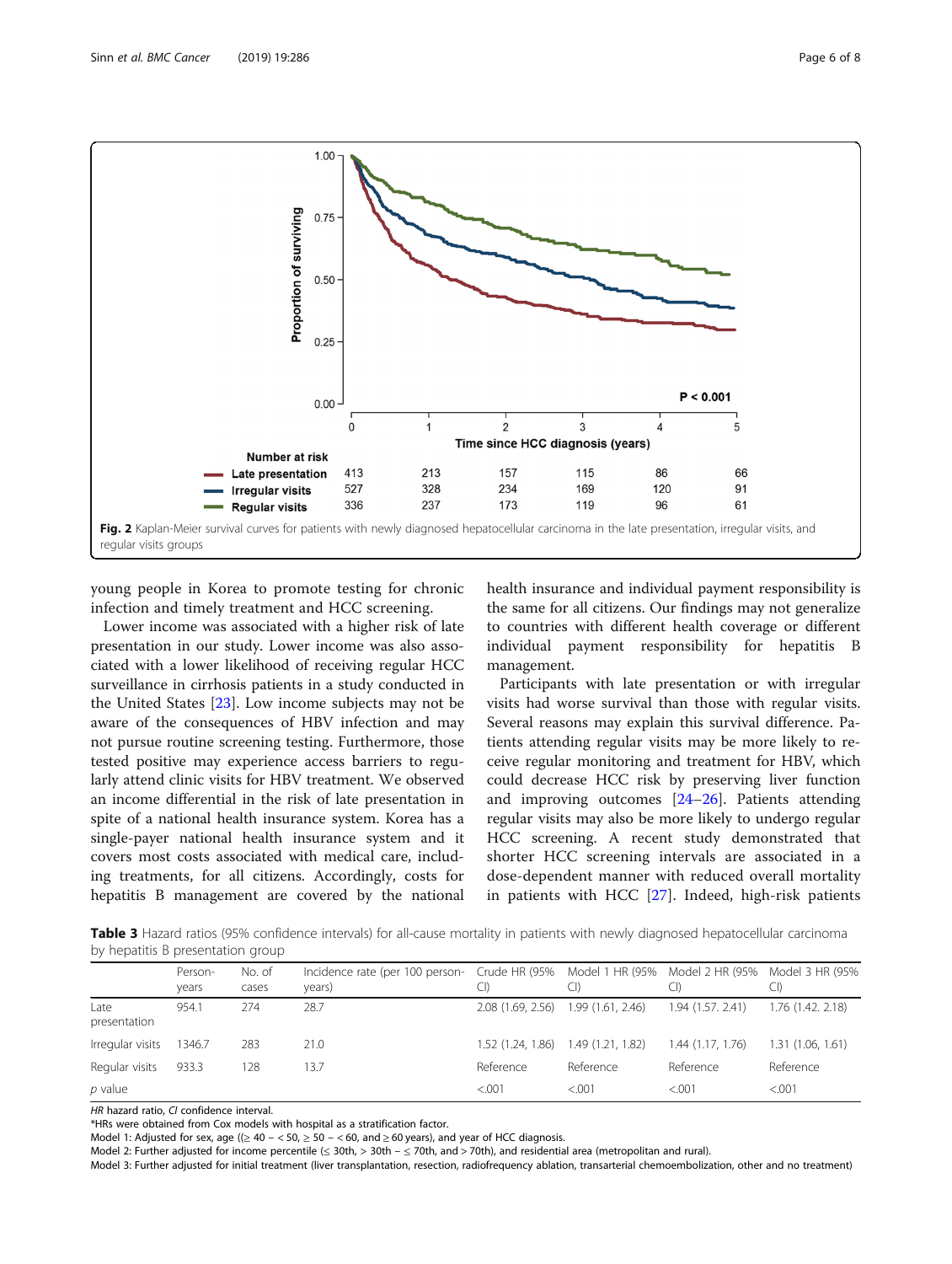<span id="page-5-0"></span>

young people in Korea to promote testing for chronic infection and timely treatment and HCC screening.

Lower income was associated with a higher risk of late presentation in our study. Lower income was also associated with a lower likelihood of receiving regular HCC surveillance in cirrhosis patients in a study conducted in the United States [[23\]](#page-7-0). Low income subjects may not be aware of the consequences of HBV infection and may not pursue routine screening testing. Furthermore, those tested positive may experience access barriers to regularly attend clinic visits for HBV treatment. We observed an income differential in the risk of late presentation in spite of a national health insurance system. Korea has a single-payer national health insurance system and it covers most costs associated with medical care, including treatments, for all citizens. Accordingly, costs for hepatitis B management are covered by the national

health insurance and individual payment responsibility is the same for all citizens. Our findings may not generalize to countries with different health coverage or different individual payment responsibility for hepatitis B management.

Participants with late presentation or with irregular visits had worse survival than those with regular visits. Several reasons may explain this survival difference. Patients attending regular visits may be more likely to receive regular monitoring and treatment for HBV, which could decrease HCC risk by preserving liver function and improving outcomes [[24](#page-7-0)–[26](#page-7-0)]. Patients attending regular visits may also be more likely to undergo regular HCC screening. A recent study demonstrated that shorter HCC screening intervals are associated in a dose-dependent manner with reduced overall mortality in patients with HCC [[27\]](#page-7-0). Indeed, high-risk patients

Table 3 Hazard ratios (95% confidence intervals) for all-cause mortality in patients with newly diagnosed hepatocellular carcinoma by hepatitis B presentation group

|                      | Person-<br>vears | No. of<br>cases | Incidence rate (per 100 person- Crude HR (95% Model 1 HR (95% Model 2 HR (95% Model 3 HR (95%)<br>years) |                                     |           |                   |                   |
|----------------------|------------------|-----------------|----------------------------------------------------------------------------------------------------------|-------------------------------------|-----------|-------------------|-------------------|
| Late<br>presentation | 954.1            | 274             | 28.7                                                                                                     | 2.08 (1.69, 2.56) 1.99 (1.61, 2.46) |           | 1.94 (1.57, 2.41) | 1.76 (1.42, 2.18) |
| Irregular visits     | 1346.7           | 283             | 21.0                                                                                                     | 1.52 (1.24, 1.86) 1.49 (1.21, 1.82) |           | 1.44 (1.17, 1.76) | 1.31(1.06, 1.61)  |
| Regular visits       | 933.3            | 128             | 13.7                                                                                                     | Reference                           | Reference | Reference         | Reference         |
| p value              |                  |                 |                                                                                                          | < 0.001                             | < 0.01    | < 0.01            | < 0.001           |

HR hazard ratio, CI confidence interval.

\*HRs were obtained from Cox models with hospital as a stratification factor.

Model 1: Adjusted for sex, age ( $\geq 40 - 50$ ,  $\geq 50 - 60$ , and  $\geq 60$  years), and year of HCC diagnosis.

Model 2: Further adjusted for income percentile (≤ 30th, > 30th - ≤ 70th, and > 70th), and residential area (metropolitan and rural).

Model 3: Further adjusted for initial treatment (liver transplantation, resection, radiofrequency ablation, transarterial chemoembolization, other and no treatment)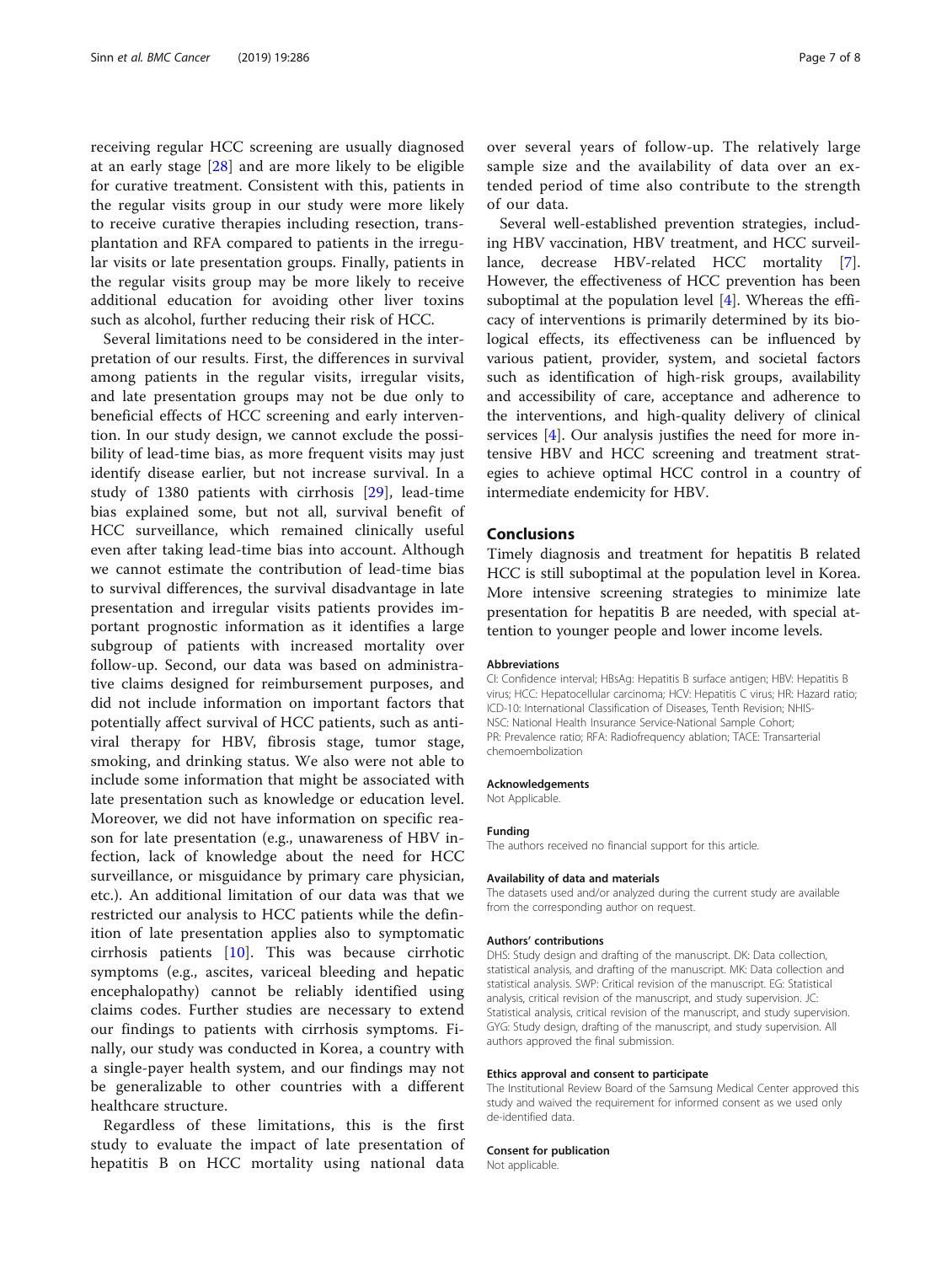receiving regular HCC screening are usually diagnosed at an early stage [[28\]](#page-7-0) and are more likely to be eligible for curative treatment. Consistent with this, patients in the regular visits group in our study were more likely to receive curative therapies including resection, transplantation and RFA compared to patients in the irregular visits or late presentation groups. Finally, patients in the regular visits group may be more likely to receive additional education for avoiding other liver toxins such as alcohol, further reducing their risk of HCC.

Several limitations need to be considered in the interpretation of our results. First, the differences in survival among patients in the regular visits, irregular visits, and late presentation groups may not be due only to beneficial effects of HCC screening and early intervention. In our study design, we cannot exclude the possibility of lead-time bias, as more frequent visits may just identify disease earlier, but not increase survival. In a study of 1380 patients with cirrhosis [\[29](#page-7-0)], lead-time bias explained some, but not all, survival benefit of HCC surveillance, which remained clinically useful even after taking lead-time bias into account. Although we cannot estimate the contribution of lead-time bias to survival differences, the survival disadvantage in late presentation and irregular visits patients provides important prognostic information as it identifies a large subgroup of patients with increased mortality over follow-up. Second, our data was based on administrative claims designed for reimbursement purposes, and did not include information on important factors that potentially affect survival of HCC patients, such as antiviral therapy for HBV, fibrosis stage, tumor stage, smoking, and drinking status. We also were not able to include some information that might be associated with late presentation such as knowledge or education level. Moreover, we did not have information on specific reason for late presentation (e.g., unawareness of HBV infection, lack of knowledge about the need for HCC surveillance, or misguidance by primary care physician, etc.). An additional limitation of our data was that we restricted our analysis to HCC patients while the definition of late presentation applies also to symptomatic cirrhosis patients [\[10](#page-7-0)]. This was because cirrhotic symptoms (e.g., ascites, variceal bleeding and hepatic encephalopathy) cannot be reliably identified using claims codes. Further studies are necessary to extend our findings to patients with cirrhosis symptoms. Finally, our study was conducted in Korea, a country with a single-payer health system, and our findings may not be generalizable to other countries with a different healthcare structure.

Regardless of these limitations, this is the first study to evaluate the impact of late presentation of hepatitis B on HCC mortality using national data over several years of follow-up. The relatively large sample size and the availability of data over an extended period of time also contribute to the strength of our data.

Several well-established prevention strategies, including HBV vaccination, HBV treatment, and HCC surveillance, decrease HBV-related HCC mortality [\[7](#page-7-0)]. However, the effectiveness of HCC prevention has been suboptimal at the population level  $[4]$  $[4]$ . Whereas the efficacy of interventions is primarily determined by its biological effects, its effectiveness can be influenced by various patient, provider, system, and societal factors such as identification of high-risk groups, availability and accessibility of care, acceptance and adherence to the interventions, and high-quality delivery of clinical services [\[4](#page-7-0)]. Our analysis justifies the need for more intensive HBV and HCC screening and treatment strategies to achieve optimal HCC control in a country of intermediate endemicity for HBV.

#### Conclusions

Timely diagnosis and treatment for hepatitis B related HCC is still suboptimal at the population level in Korea. More intensive screening strategies to minimize late presentation for hepatitis B are needed, with special attention to younger people and lower income levels.

#### Abbreviations

CI: Confidence interval; HBsAg: Hepatitis B surface antigen; HBV: Hepatitis B virus; HCC: Hepatocellular carcinoma; HCV: Hepatitis C virus; HR: Hazard ratio; ICD-10: International Classification of Diseases, Tenth Revision; NHIS-NSC: National Health Insurance Service-National Sample Cohort; PR: Prevalence ratio; RFA: Radiofrequency ablation; TACE: Transarterial chemoembolization

#### Acknowledgements

Not Applicable.

#### Funding

The authors received no financial support for this article.

#### Availability of data and materials

The datasets used and/or analyzed during the current study are available from the corresponding author on request.

#### Authors' contributions

DHS: Study design and drafting of the manuscript. DK: Data collection, statistical analysis, and drafting of the manuscript. MK: Data collection and statistical analysis. SWP: Critical revision of the manuscript. EG: Statistical analysis, critical revision of the manuscript, and study supervision. JC: Statistical analysis, critical revision of the manuscript, and study supervision. GYG: Study design, drafting of the manuscript, and study supervision. All authors approved the final submission.

#### Ethics approval and consent to participate

The Institutional Review Board of the Samsung Medical Center approved this study and waived the requirement for informed consent as we used only de-identified data.

#### Consent for publication

Not applicable.